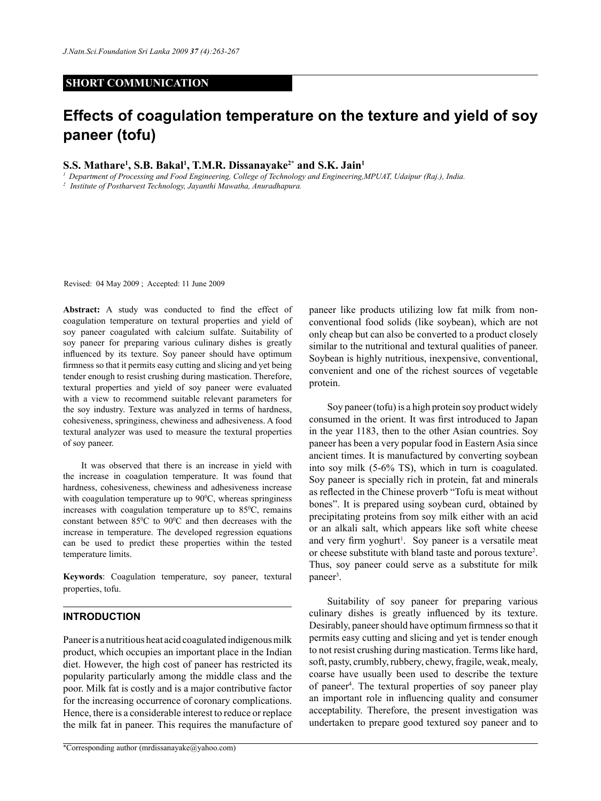## **SHORT COMMUNICATION**

# **Effects of coagulation temperature on the texture and yield of soy paneer (tofu)**

## **S.S. Mathare1 , S.B. Bakal1 , T.M.R. Dissanayake2\* and S.K. Jain1**

*<sup>1</sup> Department of Processing and Food Engineering, College of Technology and Engineering,MPUAT, Udaipur (Raj.), India.*

*2 Institute of Postharvest Technology, Jayanthi Mawatha, Anuradhapura.*

Revised: 04 May 2009 ; Accepted: 11 June 2009

Abstract: A study was conducted to find the effect of coagulation temperature on textural properties and yield of soy paneer coagulated with calcium sulfate. Suitability of soy paneer for preparing various culinary dishes is greatly influenced by its texture. Soy paneer should have optimum firmness so that it permits easy cutting and slicing and yet being tender enough to resist crushing during mastication. Therefore, textural properties and yield of soy paneer were evaluated with a view to recommend suitable relevant parameters for the soy industry. Texture was analyzed in terms of hardness, cohesiveness, springiness, chewiness and adhesiveness. A food textural analyzer was used to measure the textural properties of soy paneer.

It was observed that there is an increase in yield with the increase in coagulation temperature. It was found that hardness, cohesiveness, chewiness and adhesiveness increase with coagulation temperature up to  $90^{\circ}$ C, whereas springiness increases with coagulation temperature up to  $85^{\circ}$ C, remains constant between  $85^{\circ}$ C to  $90^{\circ}$ C and then decreases with the increase in temperature. The developed regression equations can be used to predict these properties within the tested temperature limits.

**Keywords**: Coagulation temperature, soy paneer, textural properties, tofu.

#### **Introduction**

Paneer is a nutritious heat acid coagulated indigenous milk product, which occupies an important place in the Indian diet. However, the high cost of paneer has restricted its popularity particularly among the middle class and the poor. Milk fat is costly and is a major contributive factor for the increasing occurrence of coronary complications. Hence, there is a considerable interest to reduce or replace the milk fat in paneer. This requires the manufacture of paneer like products utilizing low fat milk from nonconventional food solids (like soybean), which are not only cheap but can also be converted to a product closely similar to the nutritional and textural qualities of paneer. Soybean is highly nutritious, inexpensive, conventional, convenient and one of the richest sources of vegetable protein.

Soy paneer (tofu) is a high protein soy product widely consumed in the orient. It was first introduced to Japan in the year 1183, then to the other Asian countries. Soy paneer has been a very popular food in Eastern Asia since ancient times. It is manufactured by converting soybean into soy milk (5-6% TS), which in turn is coagulated. Soy paneer is specially rich in protein, fat and minerals as reflected in the Chinese proverb "Tofu is meat without bones". It is prepared using soybean curd, obtained by precipitating proteins from soy milk either with an acid or an alkali salt, which appears like soft white cheese and very firm yoghurt<sup>1</sup>. Soy paneer is a versatile meat or cheese substitute with bland taste and porous texture<sup>2</sup> . Thus, soy paneer could serve as a substitute for milk paneer<sup>3</sup>.

Suitability of soy paneer for preparing various culinary dishes is greatly influenced by its texture. Desirably, paneer should have optimum firmness so that it permits easy cutting and slicing and yet is tender enough to not resist crushing during mastication. Terms like hard, soft, pasty, crumbly, rubbery, chewy, fragile, weak, mealy, coarse have usually been used to describe the texture of paneer<sup>4</sup>. The textural properties of soy paneer play an important role in influencing quality and consumer acceptability. Therefore, the present investigation was undertaken to prepare good textured soy paneer and to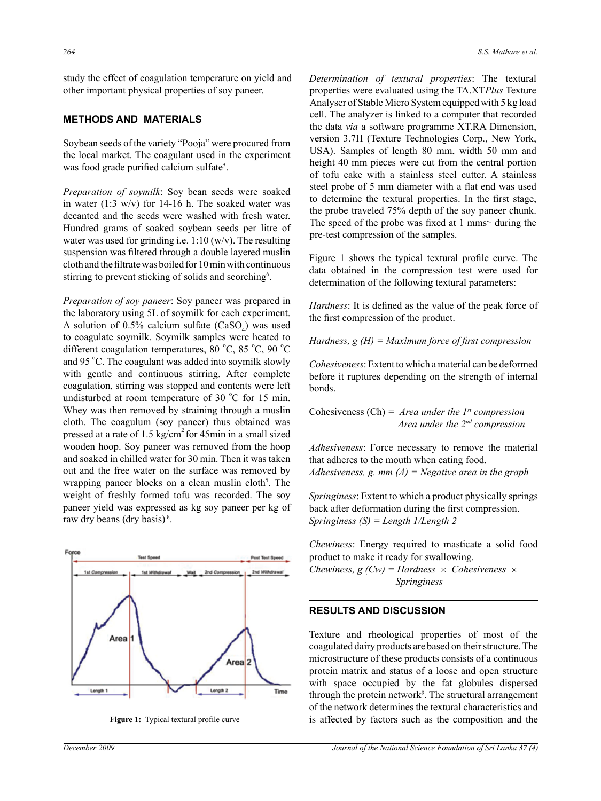study the effect of coagulation temperature on yield and other important physical properties of soy paneer.

# **Methods and Materials**

Soybean seeds of the variety "Pooja" were procured from the local market. The coagulant used in the experiment was food grade purified calcium sulfate<sup>5</sup>.

*Preparation of soymilk*: Soy bean seeds were soaked in water (1:3 w/v) for 14-16 h. The soaked water was decanted and the seeds were washed with fresh water. Hundred grams of soaked soybean seeds per litre of water was used for grinding i.e.  $1:10 \, (w/v)$ . The resulting suspension was filtered through a double layered muslin cloth and the filtrate was boiled for 10 min with continuous stirring to prevent sticking of solids and scorching<sup>6</sup>.

*Preparation of soy paneer*: Soy paneer was prepared in the laboratory using 5L of soymilk for each experiment. A solution of 0.5% calcium sulfate  $(CaSO_4)$  was used to coagulate soymilk. Soymilk samples were heated to different coagulation temperatures, 80 °C, 85 °C, 90 °C and 95 °C. The coagulant was added into soymilk slowly with gentle and continuous stirring. After complete coagulation, stirring was stopped and contents were left undisturbed at room temperature of 30  $^{\circ}$ C for 15 min. Whey was then removed by straining through a muslin cloth. The coagulum (soy paneer) thus obtained was pressed at a rate of 1.5 kg/cm<sup>2</sup> for 45min in a small sized wooden hoop. Soy paneer was removed from the hoop and soaked in chilled water for 30 min. Then it was taken out and the free water on the surface was removed by wrapping paneer blocks on a clean muslin cloth<sup>7</sup>. The weight of freshly formed tofu was recorded. The soy paneer yield was expressed as kg soy paneer per kg of raw dry beans (dry basis) 8.



*Determination of textural properties*: The textural properties were evaluated using the TA.XT*Plus* Texture Analyser of Stable Micro System equipped with 5 kg load cell. The analyzer is linked to a computer that recorded the data *via* a software programme XT.RA Dimension, version 3.7H (Texture Technologies Corp., New York, USA). Samples of length 80 mm, width 50 mm and height 40 mm pieces were cut from the central portion of tofu cake with a stainless steel cutter. A stainless steel probe of 5 mm diameter with a flat end was used to determine the textural properties. In the first stage, the probe traveled 75% depth of the soy paneer chunk. The speed of the probe was fixed at  $1 \text{ mm} \text{s}^{-1}$  during the pre-test compression of the samples.

Figure 1 shows the typical textural profile curve. The data obtained in the compression test were used for determination of the following textural parameters:

*Hardness*: It is defined as the value of the peak force of the first compression of the product.

*Hardness, g (H) = Maximum force of first compression*

*Cohesiveness*: Extent to which a material can be deformed before it ruptures depending on the strength of internal bonds.

Cohesiveness (Ch) *= Area under the 1st compression Area under the 2nd compression*

*Adhesiveness*: Force necessary to remove the material that adheres to the mouth when eating food. *Adhesiveness, g. mm (A) = Negative area in the graph*

*Springiness*: Extent to which a product physically springs back after deformation during the first compression. *Springiness (S) = Length 1/Length 2*

*Chewiness*: Energy required to masticate a solid food product to make it ready for swallowing.

*Chewiness, g (Cw) = Hardness*  $\times$  *Cohesiveness*  $\times$  *Springiness*

#### **Results and Discussion**

Texture and rheological properties of most of the coagulated dairy products are based on their structure. The microstructure of these products consists of a continuous protein matrix and status of a loose and open structure with space occupied by the fat globules dispersed through the protein network<sup>9</sup>. The structural arrangement of the network determines the textural characteristics and **Figure 1:** Typical textural profile curve is affected by factors such as the composition and the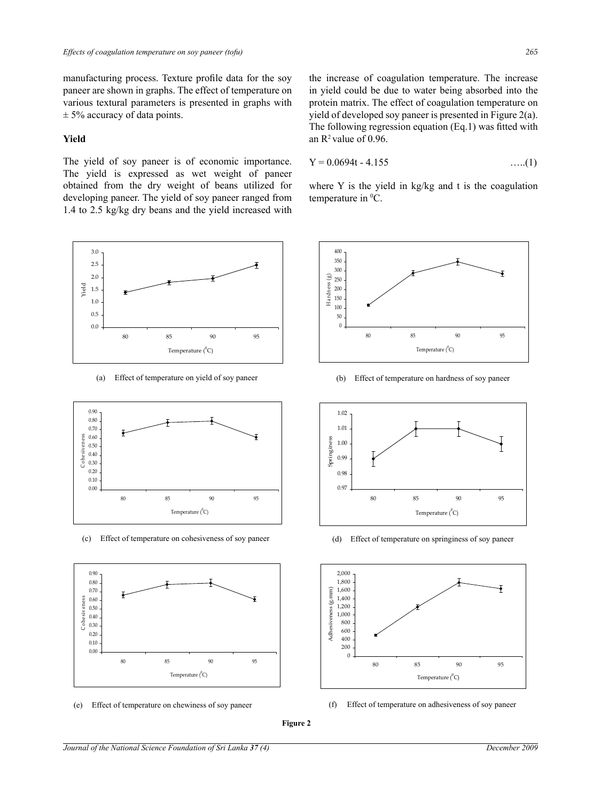manufacturing process. Texture profile data for the soy paneer are shown in graphs. The effect of temperature on various textural parameters is presented in graphs with  $\pm$  5% accuracy of data points.

#### **Yield**

The yield of soy paneer is of economic importance. The yield is expressed as wet weight of paneer obtained from the dry weight of beans utilized for developing paneer. The yield of soy paneer ranged from 1.4 to 2.5 kg/kg dry beans and the yield increased with



**Fig-2(a) Effect of temperature on yield of soy paneer Fig-2(a) Effect of temperature on yield of soy paneer** 



(c) Effect of temperature on cohesiveness of soy paneer (d) Effect of temperature on springiness of soy paneer



 $\Gamma$ ffoot of **Fig.2(e)** Effect of temperature on chewiness of soy paneer (e) Effect of temperature on chewiness of soy paneer (f) Effect of temperature on adhesiveness of soy paneer

the increase of coagulation temperature. The increase in yield could be due to water being absorbed into the protein matrix. The effect of coagulation temperature on yield of developed soy paneer is presented in Figure 2(a). The following regression equation (Eq.1) was fitted with an  $R^2$  value of 0.96.

$$
Y = 0.0694t - 4.155
$$
 ......(1)

where Y is the yield in kg/kg and t is the coagulation from temperature in  ${}^0C$ .



(a) Effect of temperature on yield of soy paneer (b) Effect of temperature on hardness of soy paneer



(d) Effect of temperature on springiness of soy paneer  $\begin{bmatrix} 1 & 1 \end{bmatrix}$  **b**  $\begin{bmatrix} 1 & 0 \end{bmatrix}$  **b**  $\begin{bmatrix} 1 & 0 \end{bmatrix}$  **b**  $\begin{bmatrix} 1 & 0 \end{bmatrix}$  **b**  $\begin{bmatrix} 1 & 0 \end{bmatrix}$  **b**  $\begin{bmatrix} 1 & 0 \end{bmatrix}$  **b**  $\begin{bmatrix} 1 & 0 \end{bmatrix}$  **b**  $\begin{bmatrix} 1 & 0 \end{bmatrix}$  **b**  $\begin{bmatrix} 1 & 0 \end{bmatrix}$  **b**  $\begin{b$ 



**Figure 2**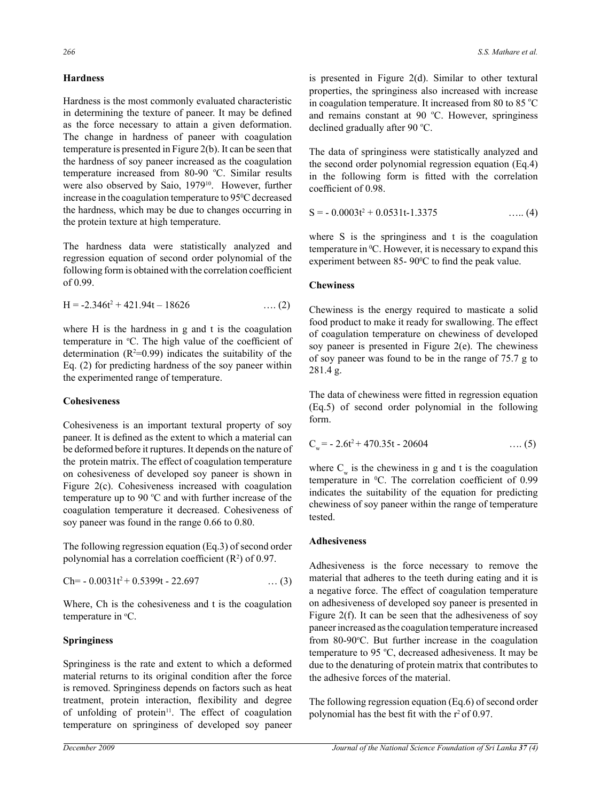# **Hardness**

Hardness is the most commonly evaluated characteristic in determining the texture of paneer. It may be defined as the force necessary to attain a given deformation. The change in hardness of paneer with coagulation temperature is presented in Figure 2(b). It can be seen that the hardness of soy paneer increased as the coagulation temperature increased from 80-90 °C. Similar results were also observed by Saio, 1979<sup>10</sup>. However, further increase in the coagulation temperature to 95<sup>°</sup>C decreased the hardness, which may be due to changes occurring in the protein texture at high temperature.

The hardness data were statistically analyzed and regression equation of second order polynomial of the following form is obtained with the correlation coefficient of 0.99.

$$
H = -2.346t^2 + 421.94t - 18626 \qquad \qquad \dots (2)
$$

where H is the hardness in g and t is the coagulation temperature in °C. The high value of the coefficient of determination ( $R^2=0.99$ ) indicates the suitability of the Eq. (2) for predicting hardness of the soy paneer within the experimented range of temperature.

## **Cohesiveness**

Cohesiveness is an important textural property of soy paneer. It is defined as the extent to which a material can be deformed before it ruptures. It depends on the nature of the protein matrix. The effect of coagulation temperature on cohesiveness of developed soy paneer is shown in Figure 2(c). Cohesiveness increased with coagulation temperature up to 90  $^{\circ}$ C and with further increase of the coagulation temperature it decreased. Cohesiveness of soy paneer was found in the range 0.66 to 0.80.

The following regression equation (Eq.3) of second order polynomial has a correlation coefficient  $(R^2)$  of 0.97.

$$
Ch = -0.0031t^2 + 0.5399t - 22.697 \qquad \qquad \dots (3)
$$

Where, Ch is the cohesiveness and t is the coagulation temperature in <sup>o</sup>C.

# **Springiness**

Springiness is the rate and extent to which a deformed material returns to its original condition after the force is removed. Springiness depends on factors such as heat treatment, protein interaction, flexibility and degree of unfolding of protein<sup>11</sup>. The effect of coagulation temperature on springiness of developed soy paneer

is presented in Figure 2(d). Similar to other textural properties, the springiness also increased with increase in coagulation temperature. It increased from 80 to 85  $^{\circ}$ C and remains constant at 90 °C. However, springiness declined gradually after 90 °C.

The data of springiness were statistically analyzed and the second order polynomial regression equation (Eq.4) in the following form is fitted with the correlation coefficient of 0.98.

$$
S = -0.0003t2 + 0.0531t - 1.3375 \qquad \qquad \dots (4)
$$

where S is the springiness and t is the coagulation temperature in  ${}^{0}C$ . However, it is necessary to expand this experiment between 85-  $90^{\circ}$ C to find the peak value.

## **Chewiness**

Chewiness is the energy required to masticate a solid food product to make it ready for swallowing. The effect of coagulation temperature on chewiness of developed soy paneer is presented in Figure 2(e). The chewiness of soy paneer was found to be in the range of 75.7 g to 281.4 g.

The data of chewiness were fitted in regression equation (Eq.5) of second order polynomial in the following form.

$$
C_w = -2.6t^2 + 470.35t - 20604 \qquad \qquad \dots (5)
$$

where  $C_w$  is the chewiness in g and t is the coagulation temperature in  ${}^{0}C$ . The correlation coefficient of 0.99 indicates the suitability of the equation for predicting chewiness of soy paneer within the range of temperature tested.

#### **Adhesiveness**

Adhesiveness is the force necessary to remove the material that adheres to the teeth during eating and it is a negative force. The effect of coagulation temperature on adhesiveness of developed soy paneer is presented in Figure 2(f). It can be seen that the adhesiveness of soy paneer increased as the coagulation temperature increased from 80-90°C. But further increase in the coagulation temperature to 95 °C, decreased adhesiveness. It may be due to the denaturing of protein matrix that contributes to the adhesive forces of the material.

The following regression equation (Eq.6) of second order polynomial has the best fit with the  $r^2$  of 0.97.